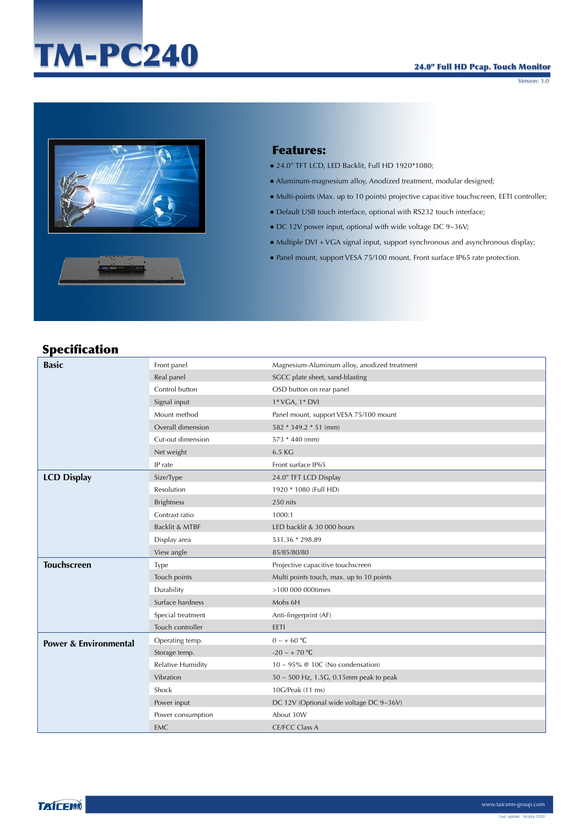# TM-PC240

#### 24.0" Full HD Pcap. Touch Monitor

Version: 3.0



## Features:

- 24.0" TFT LCD, LED Backlit, Full HD 1920\*1080;
- Aluminum-magnesium alloy, Anodized treatment, modular designed;
- Multi-points (Max. up to 10 points) projective capacitive touchscreen, EETI controller;
- Default USB touch interface, optional with RS232 touch interface;
- DC 12V power input, optional with wide voltage DC 9~36V;
- Multiple DVI + VGA signal input, support synchronous and asynchronous display;
- Panel mount, support VESA 75/100 mount, Front surface IP65 rate protection.

## Specification

| <b>Basic</b>                     | Front panel              | Magnesium-Aluminum alloy, anodized treatment |
|----------------------------------|--------------------------|----------------------------------------------|
|                                  | Real panel               | SGCC plate sheet, sand-blasting              |
|                                  | Control button           | OSD button on rear panel                     |
|                                  | Signal input             | 1* VGA, 1* DVI                               |
|                                  | Mount method             | Panel mount, support VESA 75/100 mount       |
|                                  | Overall dimension        | 582 * 349.2 * 51 (mm)                        |
|                                  | Cut-out dimension        | 573 * 440 (mm)                               |
|                                  | Net weight               | 6.5 KG                                       |
|                                  | IP rate                  | Front surface IP65                           |
| <b>LCD Display</b>               | Size/Type                | 24.0" TFT LCD Display                        |
|                                  | Resolution               | 1920 * 1080 (Full HD)                        |
|                                  | <b>Brightness</b>        | 250 nits                                     |
|                                  | Contrast ratio           | 1000:1                                       |
|                                  | Backlit & MTBF           | LED backlit & 30 000 hours                   |
|                                  | Display area             | 531.36 * 298.89                              |
|                                  | View angle               | 85/85/80/80                                  |
| <b>Touchscreen</b>               | Type                     | Projective capacitive touchscreen            |
|                                  | Touch points             | Multi points touch, max. up to 10 points     |
|                                  | Durability               | >100 000 000times                            |
|                                  | Surface hardness         | Mohs 6H                                      |
|                                  | Special treatment        | Anti-fingerprint (AF)                        |
|                                  | Touch controller         | EETI                                         |
| <b>Power &amp; Environmental</b> | Operating temp.          | $0 \sim + 60$ °C                             |
|                                  | Storage temp.            | $-20 \sim +70$ °C                            |
|                                  | <b>Relative Humidity</b> | 10 ~ 95% @ 10C (No condensation)             |
|                                  | Vibration                | 50 ~ 500 Hz, 1.5G, 0.15mm peak to peak       |
|                                  | Shock                    | 10G/Peak (11 ms)                             |
|                                  | Power input              | DC 12V (Optional wide voltage DC 9~36V)      |
|                                  | Power consumption        | About 30W                                    |
|                                  | EMC                      | <b>CE/FCC Class A</b>                        |